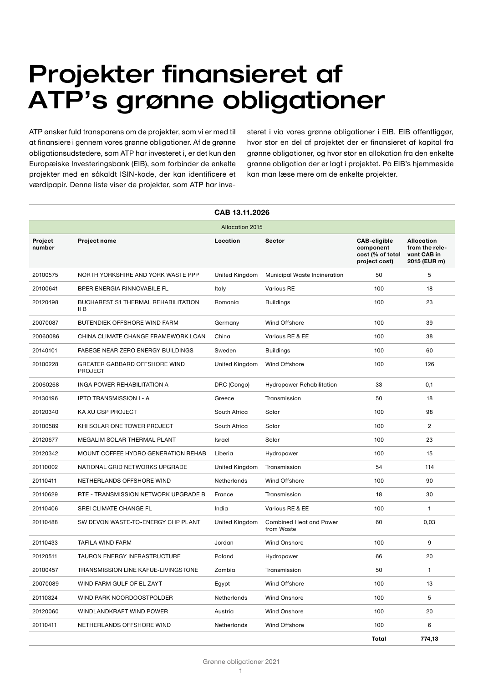# Projekter finansieret af ATP's grønne obligationer

ATP ønsker fuld transparens om de projekter, som vi er med til at finansiere i gennem vores grønne obligationer. Af de grønne obligationsudstedere, som ATP har investeret i, er det kun den Europæiske Investeringsbank (EIB), som forbinder de enkelte projekter med en såkaldt ISIN-kode, der kan identificere et værdipapir. Denne liste viser de projekter, som ATP har investeret i via vores grønne obligationer i EIB. EIB offentliggør, hvor stor en del af projektet der er finansieret af kapital fra grønne obligationer, og hvor stor en allokation fra den enkelte grønne obligation der er lagt i projektet. På EIB's hjemmeside kan man læse mere om de enkelte projekter.

| CAB 13.11.2026         |                                                        |                |                                              |                                                                       |                                                                    |  |  |  |
|------------------------|--------------------------------------------------------|----------------|----------------------------------------------|-----------------------------------------------------------------------|--------------------------------------------------------------------|--|--|--|
| <b>Allocation 2015</b> |                                                        |                |                                              |                                                                       |                                                                    |  |  |  |
| Project<br>number      | <b>Project name</b>                                    | Location       | <b>Sector</b>                                | <b>CAB-eligible</b><br>component<br>cost (% of total<br>project cost) | <b>Allocation</b><br>from the rele-<br>vant CAB in<br>2015 (EUR m) |  |  |  |
| 20100575               | NORTH YORKSHIRE AND YORK WASTE PPP                     | United Kingdom | <b>Municipal Waste Incineration</b>          | 50                                                                    | 5                                                                  |  |  |  |
| 20100641               | BPER ENERGIA RINNOVABILE FL                            | Italy          | <b>Various RE</b>                            | 100                                                                   | 18                                                                 |  |  |  |
| 20120498               | <b>BUCHAREST S1 THERMAL REHABILITATION</b><br>II B     | Romania        | <b>Buildings</b>                             | 100                                                                   | 23                                                                 |  |  |  |
| 20070087               | <b>BUTENDIEK OFFSHORE WIND FARM</b>                    | Germany        | Wind Offshore                                | 100                                                                   | 39                                                                 |  |  |  |
| 20060086               | CHINA CLIMATE CHANGE FRAMEWORK LOAN                    | China          | Various RE & EE                              | 100                                                                   | 38                                                                 |  |  |  |
| 20140101               | FABEGE NEAR ZERO ENERGY BUILDINGS                      | Sweden         | <b>Buildings</b>                             | 100                                                                   | 60                                                                 |  |  |  |
| 20100228               | <b>GREATER GABBARD OFFSHORE WIND</b><br><b>PROJECT</b> | United Kingdom | Wind Offshore                                | 100                                                                   | 126                                                                |  |  |  |
| 20060268               | INGA POWER REHABILITATION A                            | DRC (Congo)    | <b>Hydropower Rehabilitation</b>             | 33                                                                    | 0,1                                                                |  |  |  |
| 20130196               | <b>IPTO TRANSMISSION I - A</b>                         | Greece         | Transmission                                 | 50                                                                    | 18                                                                 |  |  |  |
| 20120340               | KA XU CSP PROJECT                                      | South Africa   | Solar                                        | 100                                                                   | 98                                                                 |  |  |  |
| 20100589               | KHI SOLAR ONE TOWER PROJECT                            | South Africa   | Solar                                        | 100                                                                   | $\overline{c}$                                                     |  |  |  |
| 20120677               | MEGALIM SOLAR THERMAL PLANT                            | Israel         | Solar                                        | 100                                                                   | 23                                                                 |  |  |  |
| 20120342               | MOUNT COFFEE HYDRO GENERATION REHAB                    | Liberia        | Hydropower                                   | 100                                                                   | 15                                                                 |  |  |  |
| 20110002               | NATIONAL GRID NETWORKS UPGRADE                         | United Kingdom | Transmission                                 | 54                                                                    | 114                                                                |  |  |  |
| 20110411               | NETHERLANDS OFFSHORE WIND                              | Netherlands    | <b>Wind Offshore</b>                         | 100                                                                   | 90                                                                 |  |  |  |
| 20110629               | RTE - TRANSMISSION NETWORK UPGRADE B                   | France         | Transmission                                 | 18                                                                    | 30                                                                 |  |  |  |
| 20110406               | SREI CLIMATE CHANGE FL                                 | India          | Various RE & EE                              | 100                                                                   | $\mathbf{1}$                                                       |  |  |  |
| 20110488               | SW DEVON WASTE-TO-ENERGY CHP PLANT                     | United Kingdom | <b>Combined Heat and Power</b><br>from Waste | 60                                                                    | 0,03                                                               |  |  |  |
| 20110433               | <b>TAFILA WIND FARM</b>                                | Jordan         | Wind Onshore                                 | 100                                                                   | 9                                                                  |  |  |  |
| 20120511               | <b>TAURON ENERGY INFRASTRUCTURE</b>                    | Poland         | Hydropower                                   | 66                                                                    | 20                                                                 |  |  |  |
| 20100457               | TRANSMISSION LINE KAFUE-LIVINGSTONE                    | Zambia         | Transmission                                 | 50                                                                    | 1                                                                  |  |  |  |
| 20070089               | WIND FARM GULF OF EL ZAYT                              | Egypt          | Wind Offshore                                | 100                                                                   | 13                                                                 |  |  |  |
| 20110324               | WIND PARK NOORDOOSTPOLDER                              | Netherlands    | <b>Wind Onshore</b>                          | 100                                                                   | 5                                                                  |  |  |  |
| 20120060               | WINDLANDKRAFT WIND POWER                               | Austria        | Wind Onshore                                 | 100                                                                   | 20                                                                 |  |  |  |
| 20110411               | NETHERLANDS OFFSHORE WIND                              | Netherlands    | Wind Offshore                                | 100                                                                   | 6                                                                  |  |  |  |
|                        |                                                        |                |                                              | Total                                                                 | 774,13                                                             |  |  |  |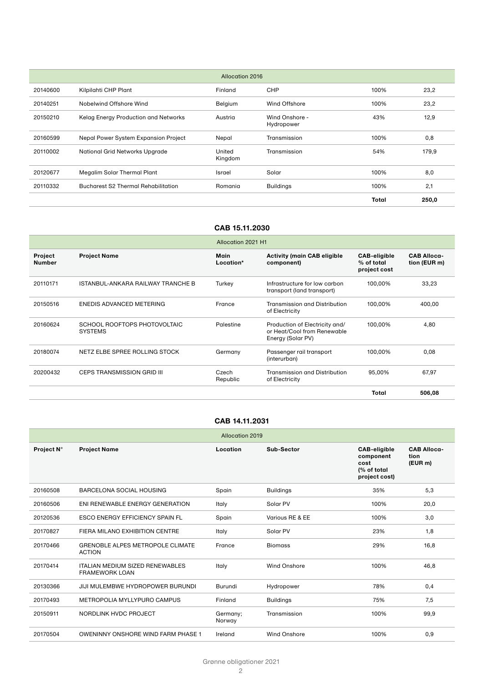|          | <b>Allocation 2016</b>                     |                   |                              |       |       |  |  |  |  |
|----------|--------------------------------------------|-------------------|------------------------------|-------|-------|--|--|--|--|
| 20140600 | Kilpilahti CHP Plant                       | Finland           | <b>CHP</b>                   | 100%  | 23,2  |  |  |  |  |
| 20140251 | Nobelwind Offshore Wind                    | Belgium           | Wind Offshore                | 100%  | 23,2  |  |  |  |  |
| 20150210 | Kelag Energy Production and Networks       | Austria           | Wind Onshore -<br>Hydropower | 43%   | 12,9  |  |  |  |  |
| 20160599 | Nepal Power System Expansion Project       | Nepal             | Transmission                 | 100%  | 0,8   |  |  |  |  |
| 20110002 | <b>National Grid Networks Upgrade</b>      | United<br>Kingdom | Transmission                 | 54%   | 179,9 |  |  |  |  |
| 20120677 | Megalim Solar Thermal Plant                | Israel            | Solar                        | 100%  | 8,0   |  |  |  |  |
| 20110332 | <b>Bucharest S2 Thermal Rehabilitation</b> | Romania           | <b>Buildings</b>             | 100%  | 2,1   |  |  |  |  |
|          |                                            |                   |                              | Total | 250,0 |  |  |  |  |

|                                 |                                                | Allocation 2021 H1 |                                                                                    |                                                   |                                    |
|---------------------------------|------------------------------------------------|--------------------|------------------------------------------------------------------------------------|---------------------------------------------------|------------------------------------|
| <b>Project</b><br><b>Number</b> | <b>Project Name</b>                            | Main<br>Location*  | <b>Activity (main CAB eligible</b><br>component)                                   | <b>CAB-eligible</b><br>% of total<br>project cost | <b>CAB Alloca-</b><br>tion (EUR m) |
| 20110171                        | ISTANBUL-ANKARA RAILWAY TRANCHE B              | Turkey             | Infrastructure for low carbon<br>transport (land transport)                        | 100,00%                                           | 33,23                              |
| 20150516                        | ENEDIS ADVANCED METERING                       | France             | Transmission and Distribution<br>of Electricity                                    | 100,00%                                           | 400,00                             |
| 20160624                        | SCHOOL ROOFTOPS PHOTOVOLTAIC<br><b>SYSTEMS</b> | Palestine          | Production of Electricity and/<br>or Heat/Cool from Renewable<br>Energy (Solar PV) | 100,00%                                           | 4,80                               |
| 20180074                        | NETZ ELBE SPREE ROLLING STOCK                  | Germany            | Passenger rail transport<br>(interurban)                                           | 100.00%                                           | 0.08                               |
| 20200432                        | CEPS TRANSMISSION GRID III                     | Czech<br>Republic  | Transmission and Distribution<br>of Electricity                                    | 95,00%                                            | 67,97                              |
|                                 |                                                |                    |                                                                                    | Total                                             | 506,08                             |

#### **CAB 14.11.2031**

| <b>Allocation 2019</b> |                                                                 |                    |                     |                                                                          |                                       |  |  |  |
|------------------------|-----------------------------------------------------------------|--------------------|---------------------|--------------------------------------------------------------------------|---------------------------------------|--|--|--|
| Project N°             | <b>Project Name</b>                                             | Location           | Sub-Sector          | <b>CAB-eligible</b><br>component<br>cost<br>(% of total<br>project cost) | <b>CAB Alloca-</b><br>tion<br>(EUR m) |  |  |  |
| 20160508               | BARCELONA SOCIAL HOUSING                                        | Spain              | <b>Buildings</b>    | 35%                                                                      | 5,3                                   |  |  |  |
| 20160506               | ENI RENEWABLE ENERGY GENERATION                                 | Italy              | Solar PV            | 100%                                                                     | 20,0                                  |  |  |  |
| 20120536               | <b>ESCO ENERGY EFFICIENCY SPAIN FL</b>                          | Spain              | Various RE & EE     | 100%                                                                     | 3,0                                   |  |  |  |
| 20170827               | FIERA MILANO EXHIBITION CENTRE                                  | Italy              | Solar PV            | 23%                                                                      | 1,8                                   |  |  |  |
| 20170466               | <b>GRENOBLE ALPES METROPOLE CLIMATE</b><br><b>ACTION</b>        | France             | <b>Biomass</b>      | 29%                                                                      | 16,8                                  |  |  |  |
| 20170414               | <b>ITALIAN MEDIUM SIZED RENEWABLES</b><br><b>FRAMEWORK LOAN</b> | Italy              | <b>Wind Onshore</b> | 100%                                                                     | 46,8                                  |  |  |  |
| 20130366               | JIJI MULEMBWE HYDROPOWER BURUNDI                                | Burundi            | Hydropower          | 78%                                                                      | 0,4                                   |  |  |  |
| 20170493               | METROPOLIA MYLLYPURO CAMPUS                                     | Finland            | <b>Buildings</b>    | 75%                                                                      | 7,5                                   |  |  |  |
| 20150911               | NORDLINK HVDC PROJECT                                           | Germany;<br>Norway | Transmission        | 100%                                                                     | 99,9                                  |  |  |  |
| 20170504               | <b>OWENINNY ONSHORE WIND FARM PHASE 1</b>                       | Ireland            | <b>Wind Onshore</b> | 100%                                                                     | 0,9                                   |  |  |  |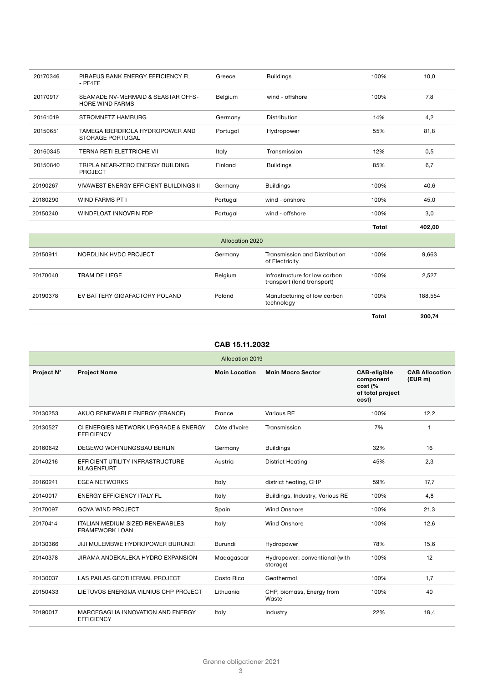| 20170346 | PIRAEUS BANK ENERGY EFFICIENCY FL<br>$-$ PF4EE               | Greece          | <b>Buildings</b>                                            | 100%         | 10,0    |
|----------|--------------------------------------------------------------|-----------------|-------------------------------------------------------------|--------------|---------|
| 20170917 | SEAMADE NV-MERMAID & SEASTAR OFFS-<br><b>HORE WIND FARMS</b> | Belgium         | wind - offshore                                             | 100%         | 7,8     |
| 20161019 | STROMNETZ HAMBURG                                            | Germany         | <b>Distribution</b>                                         | 14%          | 4,2     |
| 20150651 | TAMEGA IBERDROLA HYDROPOWER AND<br><b>STORAGE PORTUGAL</b>   | Portugal        | Hydropower                                                  | 55%          | 81,8    |
| 20160345 | <b>TERNA RETI ELETTRICHE VII</b>                             | Italy           | Transmission                                                | 12%          | 0,5     |
| 20150840 | TRIPLA NEAR-ZERO ENERGY BUILDING<br><b>PROJECT</b>           | Finland         | <b>Buildings</b>                                            | 85%          | 6,7     |
| 20190267 | VIVAWEST ENERGY EFFICIENT BUILDINGS II                       | Germany         | <b>Buildings</b>                                            | 100%         | 40,6    |
| 20180290 | <b>WIND FARMS PT I</b>                                       | Portugal        | wind - onshore                                              | 100%         | 45,0    |
| 20150240 | <b>WINDFLOAT INNOVFIN FDP</b>                                | Portugal        | wind - offshore                                             | 100%         | 3,0     |
|          |                                                              |                 |                                                             | <b>Total</b> | 402,00  |
|          |                                                              | Allocation 2020 |                                                             |              |         |
| 20150911 | NORDLINK HVDC PROJECT                                        | Germany         | <b>Transmission and Distribution</b><br>of Electricity      | 100%         | 9,663   |
| 20170040 | TRAM DE LIEGE                                                | Belgium         | Infrastructure for low carbon<br>transport (land transport) | 100%         | 2,527   |
| 20190378 | EV BATTERY GIGAFACTORY POLAND                                | Poland          | Manufacturing of low carbon<br>technology                   | 100%         | 188,554 |
|          |                                                              |                 |                                                             | Total        | 200,74  |

| <b>Allocation 2019</b> |                                                                 |                      |                                            |                                                                          |                                  |  |  |  |
|------------------------|-----------------------------------------------------------------|----------------------|--------------------------------------------|--------------------------------------------------------------------------|----------------------------------|--|--|--|
| Project N°             | <b>Project Name</b>                                             | <b>Main Location</b> | <b>Main Macro Sector</b>                   | <b>CAB-eligible</b><br>component<br>cost (%<br>of total project<br>cost) | <b>CAB Allocation</b><br>(EUR m) |  |  |  |
| 20130253               | AKUO RENEWABLE ENERGY (FRANCE)                                  | France               | <b>Various RE</b>                          | 100%                                                                     | 12,2                             |  |  |  |
| 20130527               | CI ENERGIES NETWORK UPGRADE & ENERGY<br><b>EFFICIENCY</b>       | Côte d'Ivoire        | Transmission                               | 7%                                                                       | 1                                |  |  |  |
| 20160642               | DEGEWO WOHNUNGSBAU BERLIN                                       | Germany              | <b>Buildings</b>                           | 32%                                                                      | 16                               |  |  |  |
| 20140216               | EFFICIENT UTILITY INFRASTRUCTURE<br><b>KLAGENFURT</b>           | Austria              | <b>District Heating</b>                    | 45%                                                                      | 2,3                              |  |  |  |
| 20160241               | <b>EGEA NETWORKS</b>                                            | Italy                | district heating, CHP                      | 59%                                                                      | 17,7                             |  |  |  |
| 20140017               | <b>ENERGY EFFICIENCY ITALY FL</b>                               | Italy                | Buildings, Industry, Various RE            | 100%                                                                     | 4,8                              |  |  |  |
| 20170097               | <b>GOYA WIND PROJECT</b>                                        | Spain                | <b>Wind Onshore</b>                        | 100%                                                                     | 21,3                             |  |  |  |
| 20170414               | <b>ITALIAN MEDIUM SIZED RENEWABLES</b><br><b>FRAMEWORK LOAN</b> | Italy                | <b>Wind Onshore</b>                        | 100%                                                                     | 12,6                             |  |  |  |
| 20130366               | JIJI MULEMBWE HYDROPOWER BURUNDI                                | Burundi              | Hydropower                                 | 78%                                                                      | 15,6                             |  |  |  |
| 20140378               | JIRAMA ANDEKALEKA HYDRO EXPANSION                               | Madagascar           | Hydropower: conventional (with<br>storage) | 100%                                                                     | 12                               |  |  |  |
| 20130037               | LAS PAILAS GEOTHERMAL PROJECT                                   | Costa Rica           | Geothermal                                 | 100%                                                                     | 1,7                              |  |  |  |
| 20150433               | LIETUVOS ENERGIJA VILNIUS CHP PROJECT                           | Lithuania            | CHP, biomass, Energy from<br>Waste         | 100%                                                                     | 40                               |  |  |  |
| 20190017               | MARCEGAGLIA INNOVATION AND ENERGY<br><b>EFFICIENCY</b>          | Italy                | Industry                                   | 22%                                                                      | 18,4                             |  |  |  |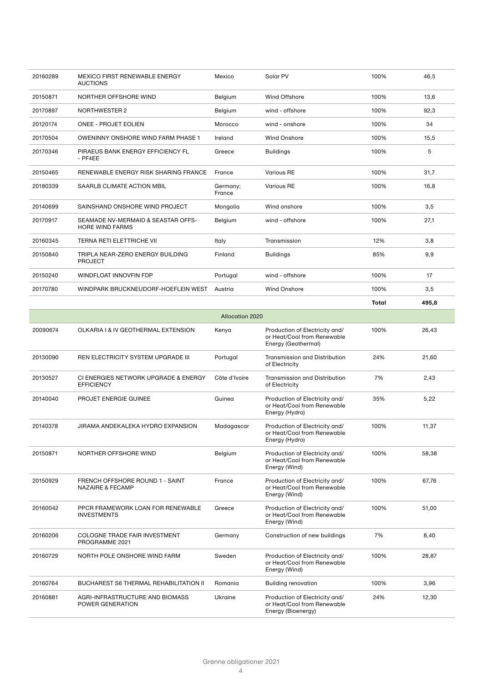| 20160289 | MEXICO FIRST RENEWABLE ENERGY<br><b>AUCTIONS</b>             | Mexico                 | Solar PV                       | 100%         | 46.5  |
|----------|--------------------------------------------------------------|------------------------|--------------------------------|--------------|-------|
| 20150871 | NORTHER OFFSHORE WIND                                        | Belgium                | Wind Offshore                  | 100%         | 13,6  |
| 20170897 | <b>NORTHWESTER 2</b>                                         | Belgium                | wind - offshore                | 100%         | 92,3  |
| 20120174 | <b>ONEE - PROJET EOLIEN</b>                                  | Morocco                | wind - onshore                 | 100%         | 34    |
| 20170504 | <b>OWENINNY ONSHORE WIND FARM PHASE 1</b>                    | Ireland                | <b>Wind Onshore</b>            | 100%         | 15,5  |
| 20170346 | PIRAEUS BANK ENERGY EFFICIENCY FL<br>$-$ PF4EE               | Greece                 | <b>Buildings</b>               | 100%         | 5     |
| 20150465 | RENEWABLE ENERGY RISK SHARING FRANCE                         | France                 | Various RE                     | 100%         | 31,7  |
| 20180339 | SAARLB CLIMATE ACTION MBIL                                   | Germany;<br>France     | <b>Various RE</b>              | 100%         | 16,8  |
| 20140699 | SAINSHAND ONSHORE WIND PROJECT                               | Mongolia               | Wind onshore                   | 100%         | 3,5   |
| 20170917 | SEAMADE NV-MERMAID & SEASTAR OFFS-<br><b>HORE WIND FARMS</b> | Belgium                | wind - offshore                | 100%         | 27,1  |
| 20160345 | <b>TERNA RETI ELETTRICHE VII</b>                             | Italy                  | Transmission                   | 12%          | 3,8   |
| 20150840 | TRIPLA NEAR-ZERO ENERGY BUILDING<br>PROJECT                  | Finland                | <b>Buildings</b>               | 85%          | 9,9   |
| 20150240 | <b>WINDFLOAT INNOVFIN FDP</b>                                | Portugal               | wind - offshore                | 100%         | 17    |
| 20170780 | WINDPARK BRUCKNEUDORF-HOEFLEIN WEST                          | Austria                | <b>Wind Onshore</b>            | 100%         | 3,5   |
|          |                                                              |                        |                                | <b>Total</b> | 495,8 |
|          |                                                              | <b>Allocation 2020</b> |                                |              |       |
| 20090674 | OLKARIA I & IV GEOTHERMAL EXTENSION                          | Kenya                  | Production of Electricity and/ | 100%         | 26,43 |

| 20090674 | OLKARIA I & IV GEOTHERMAL EXTENSION                            | Kenya         | Production of Electricity and/<br>or Heat/Cool from Renewable<br>Energy (Geothermal) | 100% | 26,43 |
|----------|----------------------------------------------------------------|---------------|--------------------------------------------------------------------------------------|------|-------|
| 20130090 | <b>REN ELECTRICITY SYSTEM UPGRADE III</b>                      | Portugal      | Transmission and Distribution<br>of Electricity                                      | 24%  | 21,60 |
| 20130527 | CI ENERGIES NETWORK UPGRADE & ENERGY<br><b>EFFICIENCY</b>      | Côte d'Ivoire | <b>Transmission and Distribution</b><br>of Electricity                               | 7%   | 2,43  |
| 20140040 | PROJET ENERGIE GUINEE                                          | Guinea        | Production of Electricity and/<br>or Heat/Cool from Renewable<br>Energy (Hydro)      | 35%  | 5,22  |
| 20140378 | JIRAMA ANDEKALEKA HYDRO EXPANSION                              | Madagascar    | Production of Electricity and/<br>or Heat/Cool from Renewable<br>Energy (Hydro)      | 100% | 11,37 |
| 20150871 | NORTHER OFFSHORE WIND                                          | Belgium       | Production of Electricity and/<br>or Heat/Cool from Renewable<br>Energy (Wind)       | 100% | 58,38 |
| 20150929 | FRENCH OFFSHORE ROUND 1 - SAINT<br><b>NAZAIRE &amp; FECAMP</b> | France        | Production of Electricity and/<br>or Heat/Cool from Renewable<br>Energy (Wind)       | 100% | 67,76 |
| 20160042 | PPCR FRAMEWORK LOAN FOR RENEWABLE<br><b>INVESTMENTS</b>        | Greece        | Production of Electricity and/<br>or Heat/Cool from Renewable<br>Energy (Wind)       | 100% | 51,00 |
| 20160206 | <b>COLOGNE TRADE FAIR INVESTMENT</b><br>PROGRAMME 2021         | Germany       | Construction of new buildings                                                        | 7%   | 8,40  |
| 20160729 | NORTH POLE ONSHORE WIND FARM                                   | Sweden        | Production of Electricity and/<br>or Heat/Cool from Renewable<br>Energy (Wind)       | 100% | 28,87 |
| 20160764 | <b>BUCHAREST S6 THERMAL REHABILITATION II</b>                  | Romania       | <b>Building renovation</b>                                                           | 100% | 3,96  |
| 20160881 | AGRI-INFRASTRUCTURE AND BIOMASS<br>POWER GENERATION            | Ukraine       | Production of Electricity and/<br>or Heat/Cool from Renewable<br>Energy (Bioenergy)  | 24%  | 12,30 |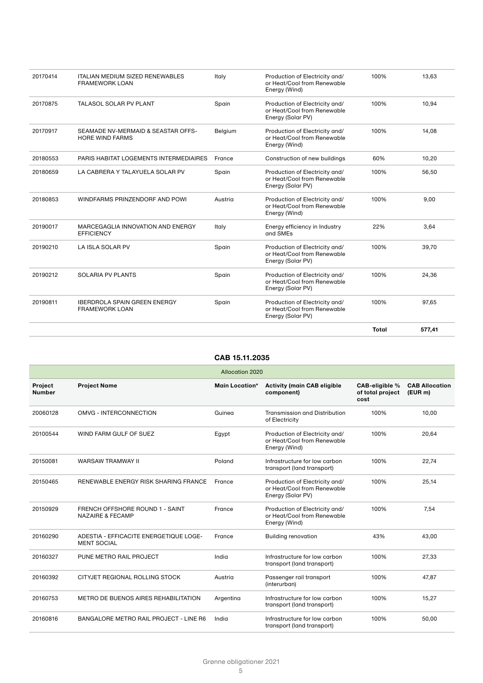| 20170414 | <b>ITALIAN MEDIUM SIZED RENEWABLES</b><br><b>FRAMEWORK LOAN</b> | Italy   | Production of Electricity and/<br>or Heat/Cool from Renewable<br>Energy (Wind)     | 100%  | 13,63  |
|----------|-----------------------------------------------------------------|---------|------------------------------------------------------------------------------------|-------|--------|
| 20170875 | TALASOL SOLAR PV PLANT                                          | Spain   | Production of Electricity and/<br>or Heat/Cool from Renewable<br>Energy (Solar PV) | 100%  | 10,94  |
| 20170917 | SEAMADE NV-MERMAID & SEASTAR OFFS-<br><b>HORE WIND FARMS</b>    | Belgium | Production of Electricity and/<br>or Heat/Cool from Renewable<br>Energy (Wind)     | 100%  | 14,08  |
| 20180553 | PARIS HABITAT LOGEMENTS INTERMEDIAIRES                          | France  | Construction of new buildings                                                      | 60%   | 10,20  |
| 20180659 | LA CABRERA Y TALAYUELA SOLAR PV                                 | Spain   | Production of Electricity and/<br>or Heat/Cool from Renewable<br>Energy (Solar PV) | 100%  | 56,50  |
| 20180853 | WINDFARMS PRINZENDORF AND POWI                                  | Austria | Production of Electricity and/<br>or Heat/Cool from Renewable<br>Energy (Wind)     | 100%  | 9,00   |
| 20190017 | MARCEGAGLIA INNOVATION AND ENERGY<br><b>EFFICIENCY</b>          | Italy   | Energy efficiency in Industry<br>and SMEs                                          | 22%   | 3,64   |
| 20190210 | LA ISLA SOLAR PV                                                | Spain   | Production of Electricity and/<br>or Heat/Cool from Renewable<br>Energy (Solar PV) | 100%  | 39,70  |
| 20190212 | <b>SOLARIA PV PLANTS</b>                                        | Spain   | Production of Electricity and/<br>or Heat/Cool from Renewable<br>Energy (Solar PV) | 100%  | 24,36  |
| 20190811 | <b>IBERDROLA SPAIN GREEN ENERGY</b><br><b>FRAMEWORK LOAN</b>    | Spain   | Production of Electricity and/<br>or Heat/Cool from Renewable<br>Energy (Solar PV) | 100%  | 97,65  |
|          |                                                                 |         |                                                                                    | Total | 577.41 |

|                                 | <b>Allocation 2020</b>                                         |                       |                                                                                    |                                            |                                 |  |  |  |
|---------------------------------|----------------------------------------------------------------|-----------------------|------------------------------------------------------------------------------------|--------------------------------------------|---------------------------------|--|--|--|
| <b>Project</b><br><b>Number</b> | <b>Project Name</b>                                            | <b>Main Location*</b> | <b>Activity (main CAB eligible</b><br>component)                                   | CAB-eligible %<br>of total project<br>cost | <b>CAB Allocation</b><br>(EURm) |  |  |  |
| 20060128                        | OMVG - INTERCONNECTION                                         | Guinea                | <b>Transmission and Distribution</b><br>of Electricity                             | 100%                                       | 10,00                           |  |  |  |
| 20100544                        | WIND FARM GULF OF SUEZ                                         | Egypt                 | Production of Electricity and/<br>or Heat/Cool from Renewable<br>Energy (Wind)     | 100%                                       | 20,64                           |  |  |  |
| 20150081                        | <b>WARSAW TRAMWAY II</b>                                       | Poland                | Infrastructure for low carbon<br>transport (land transport)                        | 100%                                       | 22,74                           |  |  |  |
| 20150465                        | RENEWABLE ENERGY RISK SHARING FRANCE                           | France                | Production of Electricity and/<br>or Heat/Cool from Renewable<br>Energy (Solar PV) | 100%                                       | 25,14                           |  |  |  |
| 20150929                        | FRENCH OFFSHORE ROUND 1 - SAINT<br><b>NAZAIRE &amp; FECAMP</b> | France                | Production of Electricity and/<br>or Heat/Cool from Renewable<br>Energy (Wind)     | 100%                                       | 7.54                            |  |  |  |
| 20160290                        | ADESTIA - EFFICACITE ENERGETIQUE LOGE-<br><b>MENT SOCIAL</b>   | France                | <b>Building renovation</b>                                                         | 43%                                        | 43,00                           |  |  |  |
| 20160327                        | PUNE METRO RAIL PROJECT                                        | India                 | Infrastructure for low carbon<br>transport (land transport)                        | 100%                                       | 27,33                           |  |  |  |
| 20160392                        | CITYJET REGIONAL ROLLING STOCK                                 | Austria               | Passenger rail transport<br>(interurban)                                           | 100%                                       | 47,87                           |  |  |  |
| 20160753                        | <b>METRO DE BUENOS AIRES REHABILITATION</b>                    | Argentina             | Infrastructure for low carbon<br>transport (land transport)                        | 100%                                       | 15,27                           |  |  |  |
| 20160816                        | BANGALORE METRO RAIL PROJECT - LINE R6                         | India                 | Infrastructure for low carbon<br>transport (land transport)                        | 100%                                       | 50,00                           |  |  |  |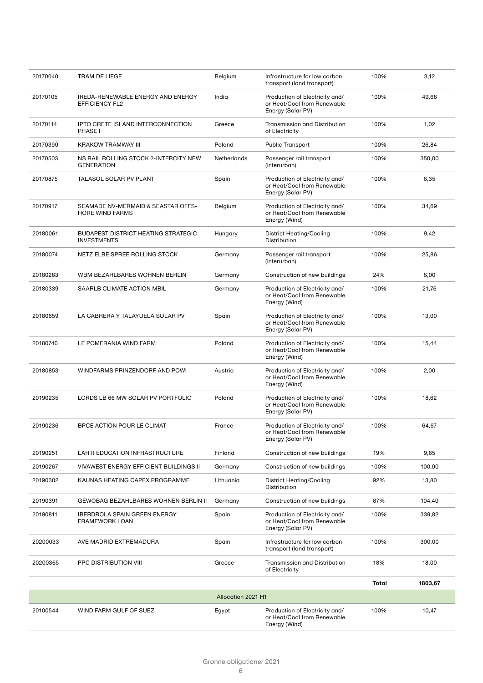| 20170040 | TRAM DE LIEGE                                                    | Belgium            | Infrastructure for low carbon<br>transport (land transport)                        | 100%  | 3,12    |
|----------|------------------------------------------------------------------|--------------------|------------------------------------------------------------------------------------|-------|---------|
| 20170105 | IREDA-RENEWABLE ENERGY AND ENERGY<br><b>EFFICIENCY FL2</b>       | India              | Production of Electricity and/<br>or Heat/Cool from Renewable<br>Energy (Solar PV) | 100%  | 49,68   |
| 20170114 | IPTO CRETE ISLAND INTERCONNECTION<br>PHASE I                     | Greece             | Transmission and Distribution<br>of Electricity                                    | 100%  | 1,02    |
| 20170390 | KRAKOW TRAMWAY III                                               | Poland             | <b>Public Transport</b>                                                            | 100%  | 26,84   |
| 20170503 | NS RAIL ROLLING STOCK 2-INTERCITY NEW<br><b>GENERATION</b>       | Netherlands        | Passenger rail transport<br>(interurban)                                           | 100%  | 350,00  |
| 20170875 | <b>TALASOL SOLAR PV PLANT</b>                                    | Spain              | Production of Electricity and/<br>or Heat/Cool from Renewable<br>Energy (Solar PV) | 100%  | 6,35    |
| 20170917 | SEAMADE NV-MERMAID & SEASTAR OFFS-<br>HORE WIND FARMS            | Belgium            | Production of Electricity and/<br>or Heat/Cool from Renewable<br>Energy (Wind)     | 100%  | 34,69   |
| 20180061 | <b>BUDAPEST DISTRICT HEATING STRATEGIC</b><br><b>INVESTMENTS</b> | Hungary            | <b>District Heating/Cooling</b><br><b>Distribution</b>                             | 100%  | 9,42    |
| 20180074 | NETZ ELBE SPREE ROLLING STOCK                                    | Germany            | Passenger rail transport<br>(interurban)                                           | 100%  | 25,86   |
| 20180283 | WBM BEZAHLBARES WOHNEN BERLIN                                    | Germany            | Construction of new buildings                                                      | 24%   | 6,00    |
| 20180339 | SAARLB CLIMATE ACTION MBIL                                       | Germany            | Production of Electricity and/<br>or Heat/Cool from Renewable<br>Energy (Wind)     | 100%  | 21,76   |
| 20180659 | LA CABRERA Y TALAYUELA SOLAR PV                                  | Spain              | Production of Electricity and/<br>or Heat/Cool from Renewable<br>Energy (Solar PV) | 100%  | 13,00   |
| 20180740 | LE POMERANIA WIND FARM                                           | Poland             | Production of Electricity and/<br>or Heat/Cool from Renewable<br>Energy (Wind)     | 100%  | 15,44   |
| 20180853 | WINDFARMS PRINZENDORF AND POWI                                   | Austria            | Production of Electricity and/<br>or Heat/Cool from Renewable<br>Energy (Wind)     | 100%  | 2,00    |
| 20190235 | LORDS LB 66 MW SOLAR PV PORTFOLIO                                | Poland             | Production of Electricity and/<br>or Heat/Cool from Renewable<br>Energy (Solar PV) | 100%  | 18,62   |
| 20190236 | BPCE ACTION POUR LE CLIMAT                                       | France             | Production of Electricity and/<br>or Heat/Cool from Renewable<br>Energy (Solar PV) | 100%  | 64,67   |
| 20190251 | LAHTI EDUCATION INFRASTRUCTURE                                   | Finland            | Construction of new buildings                                                      | 19%   | 9,65    |
| 20190267 | VIVAWEST ENERGY EFFICIENT BUILDINGS II                           | Germany            | Construction of new buildings                                                      | 100%  | 100,00  |
| 20190302 | KAUNAS HEATING CAPEX PROGRAMME                                   | Lithuania          | <b>District Heating/Cooling</b><br>Distribution                                    | 92%   | 13,80   |
| 20190391 | <b>GEWOBAG BEZAHLBARES WOHNEN BERLIN II</b>                      | Germany            | Construction of new buildings                                                      | 87%   | 104,40  |
| 20190811 | <b>IBERDROLA SPAIN GREEN ENERGY</b><br><b>FRAMEWORK LOAN</b>     | Spain              | Production of Electricity and/<br>or Heat/Cool from Renewable<br>Energy (Solar PV) | 100%  | 339,82  |
| 20200033 | AVE MADRID EXTREMADURA                                           | Spain              | Infrastructure for low carbon<br>transport (land transport)                        | 100%  | 300,00  |
| 20200365 | PPC DISTRIBUTION VIII                                            | Greece             | Transmission and Distribution<br>of Electricity                                    | 18%   | 18,00   |
|          |                                                                  |                    |                                                                                    | Total | 1803,67 |
|          |                                                                  | Allocation 2021 H1 |                                                                                    |       |         |
| 20100544 | WIND FARM GULF OF SUEZ                                           | Egypt              | Production of Electricity and/<br>or Heat/Cool from Renewable<br>Energy (Wind)     | 100%  | 10,47   |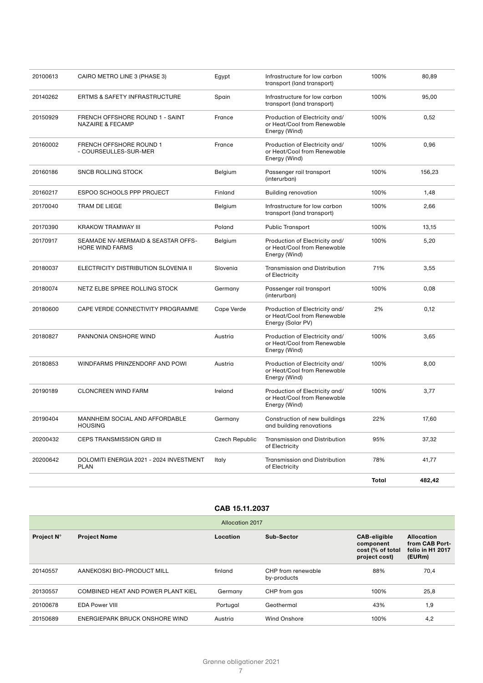|          |                                                                |                       |                                                                                    | <b>Total</b> | 482,42 |
|----------|----------------------------------------------------------------|-----------------------|------------------------------------------------------------------------------------|--------------|--------|
| 20200642 | DOLOMITI ENERGIA 2021 - 2024 INVESTMENT<br><b>PLAN</b>         | Italy                 | <b>Transmission and Distribution</b><br>of Electricity                             | 78%          | 41,77  |
| 20200432 | <b>CEPS TRANSMISSION GRID III</b>                              | <b>Czech Republic</b> | Transmission and Distribution<br>of Electricity                                    | 95%          | 37,32  |
| 20190404 | MANNHEIM SOCIAL AND AFFORDABLE<br><b>HOUSING</b>               | Germany               | Construction of new buildings<br>and building renovations                          | 22%          | 17,60  |
| 20190189 | <b>CLONCREEN WIND FARM</b>                                     | Ireland               | Production of Electricity and/<br>or Heat/Cool from Renewable<br>Energy (Wind)     | 100%         | 3,77   |
| 20180853 | WINDFARMS PRINZENDORF AND POWI                                 | Austria               | Production of Electricity and/<br>or Heat/Cool from Renewable<br>Energy (Wind)     | 100%         | 8,00   |
| 20180827 | PANNONIA ONSHORE WIND                                          | Austria               | Production of Electricity and/<br>or Heat/Cool from Renewable<br>Energy (Wind)     | 100%         | 3,65   |
| 20180600 | CAPE VERDE CONNECTIVITY PROGRAMME                              | Cape Verde            | Production of Electricity and/<br>or Heat/Cool from Renewable<br>Energy (Solar PV) | 2%           | 0,12   |
| 20180074 | NETZ ELBE SPREE ROLLING STOCK                                  | Germany               | Passenger rail transport<br>(interurban)                                           | 100%         | 0,08   |
| 20180037 | ELECTRICITY DISTRIBUTION SLOVENIA II                           | Slovenia              | <b>Transmission and Distribution</b><br>of Electricity                             | 71%          | 3,55   |
| 20170917 | SEAMADE NV-MERMAID & SEASTAR OFFS-<br><b>HORE WIND FARMS</b>   | Belgium               | Production of Electricity and/<br>or Heat/Cool from Renewable<br>Energy (Wind)     | 100%         | 5,20   |
| 20170390 | KRAKOW TRAMWAY III                                             | Poland                | <b>Public Transport</b>                                                            | 100%         | 13,15  |
| 20170040 | TRAM DE LIEGE                                                  | Belgium               | Infrastructure for low carbon<br>transport (land transport)                        | 100%         | 2,66   |
| 20160217 | ESPOO SCHOOLS PPP PROJECT                                      | Finland               | <b>Building renovation</b>                                                         | 100%         | 1,48   |
| 20160186 | <b>SNCB ROLLING STOCK</b>                                      | Belgium               | Passenger rail transport<br>(interurban)                                           | 100%         | 156,23 |
| 20160002 | <b>FRENCH OFFSHORE ROUND 1</b><br>- COURSEULLES-SUR-MER        | France                | Production of Electricity and/<br>or Heat/Cool from Renewable<br>Energy (Wind)     | 100%         | 0,96   |
| 20150929 | FRENCH OFFSHORE ROUND 1 - SAINT<br><b>NAZAIRE &amp; FECAMP</b> | France                | Production of Electricity and/<br>or Heat/Cool from Renewable<br>Energy (Wind)     | 100%         | 0,52   |
| 20140262 | ERTMS & SAFETY INFRASTRUCTURE                                  | Spain                 | Infrastructure for low carbon<br>transport (land transport)                        | 100%         | 95,00  |
| 20100613 | CAIRO METRO LINE 3 (PHASE 3)                                   | Egypt                 | Infrastructure for low carbon<br>transport (land transport)                        | 100%         | 80,89  |
|          |                                                                |                       |                                                                                    |              |        |

| <b>Allocation 2017</b> |                                    |          |                                   |                                                                       |                                                                   |  |
|------------------------|------------------------------------|----------|-----------------------------------|-----------------------------------------------------------------------|-------------------------------------------------------------------|--|
| Project N°             | <b>Project Name</b>                | Location | Sub-Sector                        | <b>CAB-eligible</b><br>component<br>cost (% of total<br>project cost) | <b>Allocation</b><br>from CAB Port-<br>folio in H1 2017<br>(EURm) |  |
| 20140557               | AANEKOSKI BIO-PRODUCT MILL         | finland  | CHP from renewable<br>by-products | 88%                                                                   | 70,4                                                              |  |
| 20130557               | COMBINED HEAT AND POWER PLANT KIEL | Germany  | CHP from gas                      | 100%                                                                  | 25,8                                                              |  |
| 20100678               | <b>EDA Power VIII</b>              | Portugal | Geothermal                        | 43%                                                                   | 1,9                                                               |  |
| 20150689               | ENERGIEPARK BRUCK ONSHORE WIND     | Austria  | Wind Onshore                      | 100%                                                                  | 4,2                                                               |  |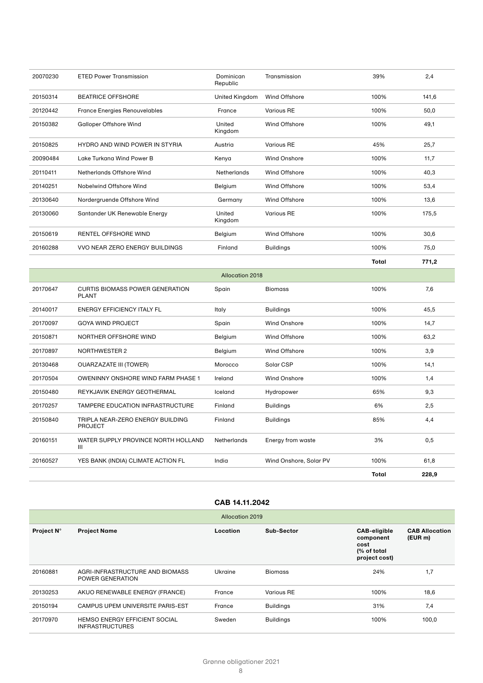| 20070230 | <b>ETED Power Transmission</b>                         | Dominican<br>Republic  | Transmission        | 39%          | 2,4   |
|----------|--------------------------------------------------------|------------------------|---------------------|--------------|-------|
| 20150314 | <b>BEATRICE OFFSHORE</b>                               | United Kingdom         | Wind Offshore       | 100%         | 141,6 |
| 20120442 | <b>France Energies Renouvelables</b>                   | France                 | <b>Various RE</b>   | 100%         | 50,0  |
| 20150382 | <b>Galloper Offshore Wind</b>                          | United<br>Kingdom      | Wind Offshore       | 100%         | 49,1  |
| 20150825 | HYDRO AND WIND POWER IN STYRIA                         | Austria                | <b>Various RE</b>   | 45%          | 25,7  |
| 20090484 | Lake Turkana Wind Power B                              | Kenya                  | <b>Wind Onshore</b> | 100%         | 11.7  |
| 20110411 | Netherlands Offshore Wind                              | Netherlands            | Wind Offshore       | 100%         | 40,3  |
| 20140251 | Nobelwind Offshore Wind                                | Belgium                | Wind Offshore       | 100%         | 53,4  |
| 20130640 | Nordergruende Offshore Wind                            | Germany                | Wind Offshore       | 100%         | 13,6  |
| 20130060 | Santander UK Renewable Energy                          | United<br>Kingdom      | <b>Various RE</b>   | 100%         | 175,5 |
| 20150619 | RENTEL OFFSHORE WIND                                   | Belgium                | Wind Offshore       | 100%         | 30,6  |
| 20160288 | VVO NEAR ZERO ENERGY BUILDINGS                         | Finland                | <b>Buildings</b>    | 100%         | 75,0  |
|          |                                                        |                        |                     |              |       |
|          |                                                        |                        |                     | <b>Total</b> | 771,2 |
|          |                                                        | <b>Allocation 2018</b> |                     |              |       |
| 20170647 | <b>CURTIS BIOMASS POWER GENERATION</b><br><b>PLANT</b> | Spain                  | <b>Biomass</b>      | 100%         | 7,6   |
| 20140017 | <b>ENERGY EFFICIENCY ITALY FL</b>                      | Italy                  | <b>Buildings</b>    | 100%         | 45,5  |
| 20170097 | <b>GOYA WIND PROJECT</b>                               | Spain                  | <b>Wind Onshore</b> | 100%         | 14,7  |
| 20150871 | NORTHER OFFSHORE WIND                                  | Belgium                | Wind Offshore       | 100%         | 63,2  |
| 20170897 | NORTHWESTER 2                                          | Belgium                | Wind Offshore       | 100%         | 3,9   |
| 20130468 | <b>OUARZAZATE III (TOWER)</b>                          | Morocco                | Solar CSP           | 100%         | 14,1  |
| 20170504 | OWENINNY ONSHORE WIND FARM PHASE 1                     | Ireland                | <b>Wind Onshore</b> | 100%         | 1,4   |
| 20150480 | REYKJAVIK ENERGY GEOTHERMAL                            | Iceland                | Hydropower          | 65%          | 9,3   |
| 20170257 | TAMPERE EDUCATION INFRASTRUCTURE                       | Finland                | <b>Buildings</b>    | 6%           | 2,5   |
| 20150840 | TRIPLA NEAR-ZERO ENERGY BUILDING<br><b>PROJECT</b>     | Finland                | <b>Buildings</b>    | 85%          | 4,4   |

# **CAB 14.11.2042**

**Total 228,9**

20160527 YES BANK (INDIA) CLIMATE ACTION FL India Wind Onshore, Solar PV 100% 61,8

| Allocation 2019 |                                                         |          |                  |                                                                           |                                  |  |
|-----------------|---------------------------------------------------------|----------|------------------|---------------------------------------------------------------------------|----------------------------------|--|
| Project N°      | <b>Project Name</b>                                     | Location | Sub-Sector       | <b>CAB-eligible</b><br>component<br>cost<br>(% of total)<br>project cost) | <b>CAB Allocation</b><br>(EUR m) |  |
| 20160881        | AGRI-INFRASTRUCTURE AND BIOMASS<br>POWER GENERATION     | Ukraine  | <b>Biomass</b>   | 24%                                                                       | 1,7                              |  |
| 20130253        | AKUO RENEWABLE ENERGY (FRANCE)                          | France   | Various RE       | 100%                                                                      | 18,6                             |  |
| 20150194        | CAMPUS UPEM UNIVERSITE PARIS-EST                        | France   | <b>Buildings</b> | 31%                                                                       | 7,4                              |  |
| 20170970        | HEMSO ENERGY EFFICIENT SOCIAL<br><b>INFRASTRUCTURES</b> | Sweden   | <b>Buildings</b> | 100%                                                                      | 100,0                            |  |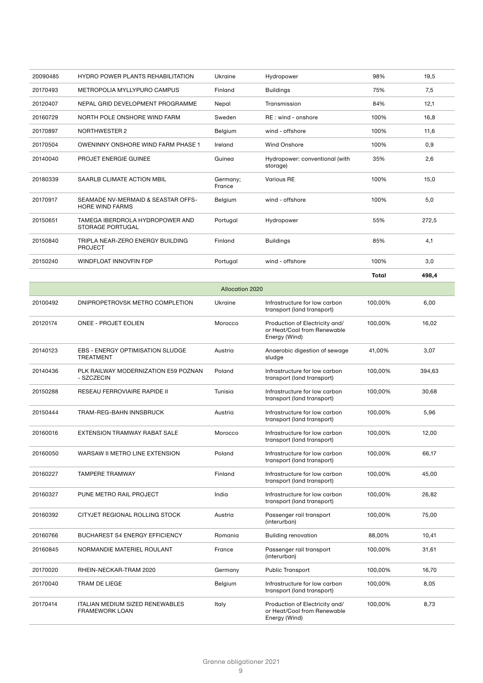| 20090485 | <b>HYDRO POWER PLANTS REHABILITATION</b>                     | Ukraine            | Hydropower                                 | 98%   | 19,5  |
|----------|--------------------------------------------------------------|--------------------|--------------------------------------------|-------|-------|
| 20170493 | METROPOLIA MYLLYPURO CAMPUS                                  | Finland            | <b>Buildings</b>                           | 75%   | 7,5   |
| 20120407 | NEPAL GRID DEVELOPMENT PROGRAMME                             | Nepal              | Transmission                               | 84%   | 12,1  |
| 20160729 | NORTH POLE ONSHORE WIND FARM                                 | Sweden             | RE: wind - onshore                         | 100%  | 16,8  |
| 20170897 | <b>NORTHWESTER 2</b>                                         | Belgium            | wind - offshore                            | 100%  | 11,6  |
| 20170504 | <b>OWENINNY ONSHORE WIND FARM PHASE 1</b>                    | Ireland            | <b>Wind Onshore</b>                        | 100%  | 0,9   |
| 20140040 | PROJET ENERGIE GUINEE                                        | Guinea             | Hydropower: conventional (with<br>storage) | 35%   | 2,6   |
| 20180339 | SAARLB CLIMATE ACTION MBIL                                   | Germany;<br>France | <b>Various RE</b>                          | 100%  | 15,0  |
| 20170917 | SEAMADE NV-MERMAID & SEASTAR OFFS-<br><b>HORE WIND FARMS</b> | Belgium            | wind - offshore                            | 100%  | 5.0   |
| 20150651 | TAMEGA IBERDROLA HYDROPOWER AND<br><b>STORAGE PORTUGAL</b>   | Portugal           | Hydropower                                 | 55%   | 272,5 |
| 20150840 | TRIPLA NEAR-ZERO ENERGY BUILDING<br><b>PROJECT</b>           | Finland            | <b>Buildings</b>                           | 85%   | 4,1   |
| 20150240 | <b>WINDFLOAT INNOVEIN FDP</b>                                | Portugal           | wind - offshore                            | 100%  | 3,0   |
|          |                                                              |                    |                                            | Total | 498,4 |

| <b>Allocation 2020</b> |                                                                 |         |                                                                                |         |        |  |  |
|------------------------|-----------------------------------------------------------------|---------|--------------------------------------------------------------------------------|---------|--------|--|--|
| 20100492               | DNIPROPETROVSK METRO COMPLETION                                 | Ukraine | Infrastructure for low carbon<br>transport (land transport)                    | 100,00% | 6,00   |  |  |
| 20120174               | <b>ONEE - PROJET EOLIEN</b>                                     | Morocco | Production of Electricity and/<br>or Heat/Cool from Renewable<br>Energy (Wind) | 100,00% | 16,02  |  |  |
| 20140123               | <b>EBS - ENERGY OPTIMISATION SLUDGE</b><br><b>TREATMENT</b>     | Austria | Anaerobic digestion of sewage<br>sludge                                        | 41.00%  | 3,07   |  |  |
| 20140436               | PLK RAILWAY MODERNIZATION E59 POZNAN<br>- SZCZECIN              | Poland  | Infrastructure for low carbon<br>transport (land transport)                    | 100.00% | 394,63 |  |  |
| 20150288               | <b>RESEAU FERROVIAIRE RAPIDE II</b>                             | Tunisia | Infrastructure for low carbon<br>transport (land transport)                    | 100,00% | 30,68  |  |  |
| 20150444               | TRAM-REG-BAHN INNSBRUCK                                         | Austria | Infrastructure for low carbon<br>transport (land transport)                    | 100,00% | 5,96   |  |  |
| 20160016               | EXTENSION TRAMWAY RABAT SALE                                    | Morocco | Infrastructure for low carbon<br>transport (land transport)                    | 100,00% | 12,00  |  |  |
| 20160050               | WARSAW II METRO LINE EXTENSION                                  | Poland  | Infrastructure for low carbon<br>transport (land transport)                    | 100.00% | 66,17  |  |  |
| 20160227               | <b>TAMPERE TRAMWAY</b>                                          | Finland | Infrastructure for low carbon<br>transport (land transport)                    | 100,00% | 45,00  |  |  |
| 20160327               | PUNE METRO RAIL PROJECT                                         | India   | Infrastructure for low carbon<br>transport (land transport)                    | 100,00% | 26,82  |  |  |
| 20160392               | CITYJET REGIONAL ROLLING STOCK                                  | Austria | Passenger rail transport<br>(interurban)                                       | 100,00% | 75,00  |  |  |
| 20160766               | <b>BUCHAREST S4 ENERGY EFFICIENCY</b>                           | Romania | <b>Building renovation</b>                                                     | 88,00%  | 10,41  |  |  |
| 20160845               | NORMANDIE MATERIEL ROULANT                                      | France  | Passenger rail transport<br>(interurban)                                       | 100,00% | 31,61  |  |  |
| 20170020               | RHEIN-NECKAR-TRAM 2020                                          | Germany | <b>Public Transport</b>                                                        | 100,00% | 16,70  |  |  |
| 20170040               | <b>TRAM DE LIEGE</b>                                            | Belgium | Infrastructure for low carbon<br>transport (land transport)                    | 100,00% | 8,05   |  |  |
| 20170414               | <b>ITALIAN MEDIUM SIZED RENEWABLES</b><br><b>FRAMEWORK LOAN</b> | Italy   | Production of Electricity and/<br>or Heat/Cool from Renewable<br>Energy (Wind) | 100,00% | 8,73   |  |  |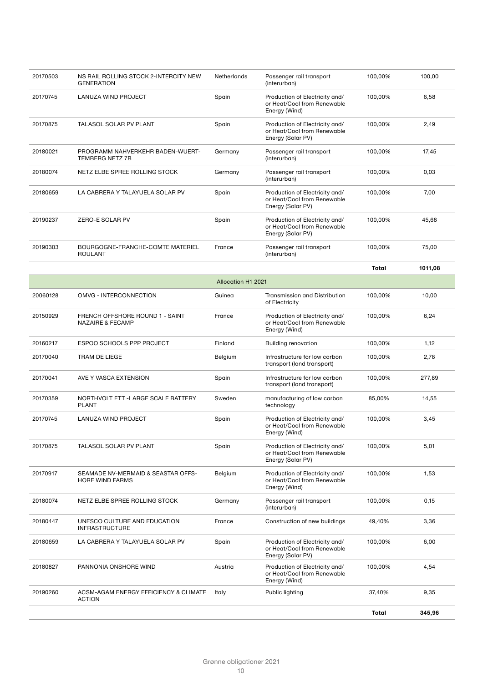| 20170503 | NS RAIL ROLLING STOCK 2-INTERCITY NEW<br><b>GENERATION</b>     | Netherlands               | Passenger rail transport<br>(interurban)                                           | 100,00%      | 100,00  |
|----------|----------------------------------------------------------------|---------------------------|------------------------------------------------------------------------------------|--------------|---------|
| 20170745 | LANUZA WIND PROJECT                                            | Spain                     | Production of Electricity and/<br>or Heat/Cool from Renewable<br>Energy (Wind)     | 100,00%      | 6,58    |
| 20170875 | TALASOL SOLAR PV PLANT                                         | Spain                     | Production of Electricity and/<br>or Heat/Cool from Renewable<br>Energy (Solar PV) | 100,00%      | 2,49    |
| 20180021 | PROGRAMM NAHVERKEHR BADEN-WUERT-<br><b>TEMBERG NETZ 7B</b>     | Germany                   | Passenger rail transport<br>(interurban)                                           | 100,00%      | 17,45   |
| 20180074 | NETZ ELBE SPREE ROLLING STOCK                                  | Germany                   | Passenger rail transport<br>(interurban)                                           | 100,00%      | 0,03    |
| 20180659 | LA CABRERA Y TALAYUELA SOLAR PV                                | Spain                     | Production of Electricity and/<br>or Heat/Cool from Renewable<br>Energy (Solar PV) | 100,00%      | 7,00    |
| 20190237 | ZERO-E SOLAR PV                                                | Spain                     | Production of Electricity and/<br>or Heat/Cool from Renewable<br>Energy (Solar PV) | 100,00%      | 45,68   |
| 20190303 | BOURGOGNE-FRANCHE-COMTE MATERIEL<br><b>ROULANT</b>             | France                    | Passenger rail transport<br>(interurban)                                           | 100,00%      | 75,00   |
|          |                                                                |                           |                                                                                    | <b>Total</b> | 1011,08 |
|          |                                                                | <b>Allocation H1 2021</b> |                                                                                    |              |         |
| 20060128 | OMVG - INTERCONNECTION                                         | Guinea                    | Transmission and Distribution<br>of Electricity                                    | 100,00%      | 10,00   |
| 20150929 | FRENCH OFFSHORE ROUND 1 - SAINT<br><b>NAZAIRE &amp; FECAMP</b> | France                    | Production of Electricity and/<br>or Heat/Cool from Renewable<br>Energy (Wind)     | 100,00%      | 6,24    |
| 20160217 | ESPOO SCHOOLS PPP PROJECT                                      | Finland                   | <b>Building renovation</b>                                                         | 100,00%      | 1,12    |
| 20170040 | TRAM DE LIEGE                                                  | Belgium                   | Infrastructure for low carbon<br>transport (land transport)                        | 100,00%      | 2,78    |
| 20170041 | AVE Y VASCA EXTENSION                                          | Spain                     | Infrastructure for low carbon<br>transport (land transport)                        | 100,00%      | 277,89  |
| 20170359 | NORTHVOLT ETT - LARGE SCALE BATTERY<br><b>PLANT</b>            | Sweden                    | manufacturing of low carbon<br>technology                                          | 85,00%       | 14,55   |
| 20170745 | <b>LANUZA WIND PROJECT</b>                                     | Spain                     | Production of Electricity and/<br>or Heat/Cool from Renewable<br>Energy (Wind)     | 100,00%      | 3,45    |
| 20170875 | <b>TALASOL SOLAR PV PLANT</b>                                  | Spain                     | Production of Electricity and/<br>or Heat/Cool from Renewable<br>Energy (Solar PV) | 100,00%      | 5,01    |
| 20170917 | SEAMADE NV-MERMAID & SEASTAR OFFS-<br>HORE WIND FARMS          | Belgium                   | Production of Electricity and/<br>or Heat/Cool from Renewable<br>Energy (Wind)     | 100,00%      | 1,53    |
| 20180074 | NETZ ELBE SPREE ROLLING STOCK                                  | Germany                   | Passenger rail transport<br>(interurban)                                           | 100,00%      | 0,15    |
| 20180447 | UNESCO CULTURE AND EDUCATION<br><b>INFRASTRUCTURE</b>          | France                    | Construction of new buildings                                                      | 49,40%       | 3,36    |
| 20180659 | LA CABRERA Y TALAYUELA SOLAR PV                                | Spain                     | Production of Electricity and/<br>or Heat/Cool from Renewable<br>Energy (Solar PV) | 100,00%      | 6,00    |
| 20180827 | PANNONIA ONSHORE WIND                                          | Austria                   | Production of Electricity and/<br>or Heat/Cool from Renewable<br>Energy (Wind)     | 100,00%      | 4,54    |
| 20190260 | ACSM-AGAM ENERGY EFFICIENCY & CLIMATE<br><b>ACTION</b>         | Italy                     | Public lighting                                                                    | 37,40%       | 9,35    |
|          |                                                                |                           |                                                                                    | <b>Total</b> | 345,96  |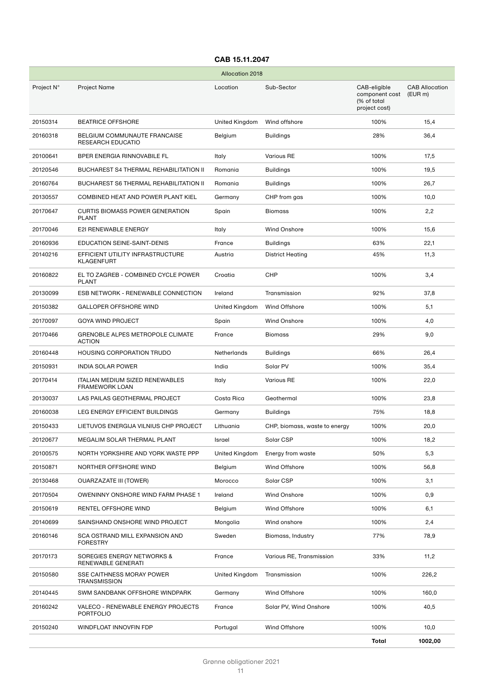| <b>Allocation 2018</b> |                                                                 |                |                               |                                                                |                                  |
|------------------------|-----------------------------------------------------------------|----------------|-------------------------------|----------------------------------------------------------------|----------------------------------|
| Project N°             | <b>Project Name</b>                                             | Location       | Sub-Sector                    | CAB-eligible<br>component cost<br>(% of total<br>project cost) | <b>CAB Allocation</b><br>(EUR m) |
| 20150314               | <b>BEATRICE OFFSHORE</b>                                        | United Kingdom | Wind offshore                 | 100%                                                           | 15,4                             |
| 20160318               | BELGIUM COMMUNAUTE FRANCAISE<br><b>RESEARCH EDUCATIO</b>        | Belgium        | <b>Buildings</b>              | 28%                                                            | 36,4                             |
| 20100641               | BPER ENERGIA RINNOVABILE FL                                     | Italy          | <b>Various RE</b>             | 100%                                                           | 17,5                             |
| 20120546               | <b>BUCHAREST S4 THERMAL REHABILITATION II</b>                   | Romania        | <b>Buildings</b>              | 100%                                                           | 19,5                             |
| 20160764               | <b>BUCHAREST S6 THERMAL REHABILITATION II</b>                   | Romania        | Buildings                     | 100%                                                           | 26,7                             |
| 20130557               | COMBINED HEAT AND POWER PLANT KIEL                              | Germany        | CHP from gas                  | 100%                                                           | 10,0                             |
| 20170647               | <b>CURTIS BIOMASS POWER GENERATION</b><br><b>PLANT</b>          | Spain          | <b>Biomass</b>                | 100%                                                           | 2,2                              |
| 20170046               | <b>E2I RENEWABLE ENERGY</b>                                     | Italy          | <b>Wind Onshore</b>           | 100%                                                           | 15,6                             |
| 20160936               | EDUCATION SEINE-SAINT-DENIS                                     | France         | <b>Buildings</b>              | 63%                                                            | 22,1                             |
| 20140216               | EFFICIENT UTILITY INFRASTRUCTURE<br>KLAGENFURT                  | Austria        | <b>District Heating</b>       | 45%                                                            | 11,3                             |
| 20160822               | EL TO ZAGREB - COMBINED CYCLE POWER<br><b>PLANT</b>             | Croatia        | CHP                           | 100%                                                           | 3,4                              |
| 20130099               | ESB NETWORK - RENEWABLE CONNECTION                              | Ireland        | Transmission                  | 92%                                                            | 37,8                             |
| 20150382               | <b>GALLOPER OFFSHORE WIND</b>                                   | United Kingdom | <b>Wind Offshore</b>          | 100%                                                           | 5,1                              |
| 20170097               | <b>GOYA WIND PROJECT</b>                                        | Spain          | Wind Onshore                  | 100%                                                           | 4,0                              |
| 20170466               | <b>GRENOBLE ALPES METROPOLE CLIMATE</b><br><b>ACTION</b>        | France         | Biomass                       | 29%                                                            | 9,0                              |
| 20160448               | <b>HOUSING CORPORATION TRUDO</b>                                | Netherlands    | <b>Buildings</b>              | 66%                                                            | 26,4                             |
| 20150931               | <b>INDIA SOLAR POWER</b>                                        | India          | Solar PV                      | 100%                                                           | 35,4                             |
| 20170414               | <b>ITALIAN MEDIUM SIZED RENEWABLES</b><br><b>FRAMEWORK LOAN</b> | Italy          | <b>Various RE</b>             | 100%                                                           | 22,0                             |
| 20130037               | LAS PAILAS GEOTHERMAL PROJECT                                   | Costa Rica     | Geothermal                    | 100%                                                           | 23,8                             |
| 20160038               | LEG ENERGY EFFICIENT BUILDINGS                                  | Germany        | Buildings                     | 75%                                                            | 18,8                             |
| 20150433               | LIETUVOS ENERGIJA VILNIUS CHP PROJECT                           | Lithuania      | CHP, biomass, waste to energy | 100%                                                           | 20,0                             |
| 20120677               | MEGALIM SOLAR THERMAL PLANT                                     | Israel         | Solar CSP                     | 100%                                                           | 18,2                             |
| 20100575               | NORTH YORKSHIRE AND YORK WASTE PPP                              | United Kingdom | Energy from waste             | 50%                                                            | 5,3                              |
| 20150871               | NORTHER OFFSHORE WIND                                           | Belgium        | Wind Offshore                 | 100%                                                           | 56,8                             |
| 20130468               | <b>OUARZAZATE III (TOWER)</b>                                   | Morocco        | Solar CSP                     | 100%                                                           | 3,1                              |
| 20170504               | OWENINNY ONSHORE WIND FARM PHASE 1                              | Ireland        | Wind Onshore                  | 100%                                                           | 0,9                              |
| 20150619               | RENTEL OFFSHORE WIND                                            | Belgium        | Wind Offshore                 | 100%                                                           | 6,1                              |
| 20140699               | SAINSHAND ONSHORE WIND PROJECT                                  | Mongolia       | Wind onshore                  | 100%                                                           | 2,4                              |
| 20160146               | SCA OSTRAND MILL EXPANSION AND<br>FORESTRY                      | Sweden         | Biomass, Industry             | 77%                                                            | 78,9                             |
| 20170173               | SOREGIES ENERGY NETWORKS &<br>RENEWABLE GENERATI                | France         | Various RE, Transmission      | 33%                                                            | 11,2                             |
| 20150580               | SSE CAITHNESS MORAY POWER<br>TRANSMISSION                       | United Kingdom | Transmission                  | 100%                                                           | 226,2                            |
| 20140445               | SWM SANDBANK OFFSHORE WINDPARK                                  | Germany        | Wind Offshore                 | 100%                                                           | 160,0                            |
| 20160242               | VALECO - RENEWABLE ENERGY PROJECTS<br><b>PORTFOLIO</b>          | France         | Solar PV, Wind Onshore        | 100%                                                           | 40,5                             |
| 20150240               | WINDFLOAT INNOVFIN FDP                                          | Portugal       | Wind Offshore                 | 100%                                                           | 10,0                             |
|                        |                                                                 |                |                               | Total                                                          | 1002,00                          |